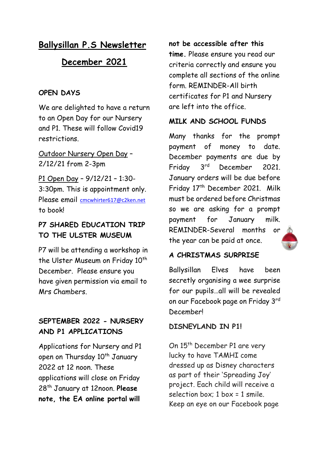# **Ballysillan P.S Newsletter**

## **December 2021**

### **OPEN DAYS**

We are delighted to have a return to an Open Day for our Nursery and P1. These will follow Covid19 restrictions.

Outdoor Nursery Open Day – 2/12/21 from 2-3pm

P1 Open Day – 9/12/21 – 1:30- 3:30pm. This is appointment only. Please email [cmcwhirter617@c2ken.net](mailto:cmcwhirter617@c2ken.net) to book!

## **P7 SHARED EDUCATION TRIP TO THE ULSTER MUSEUM**

P7 will be attending a workshop in the Ulster Museum on Friday 10<sup>th</sup> December. Please ensure you have given permission via email to Mrs Chambers.

## **SEPTEMBER 2022 - NURSERY AND P1 APPLICATIONS**

Applications for Nursery and P1 open on Thursday 10<sup>th</sup> January 2022 at 12 noon. These applications will close on Friday 28th January at 12noon. **Please note, the EA online portal will** 

#### **not be accessible after this**

**time.** Please ensure you read our criteria correctly and ensure you complete all sections of the online form. REMINDER-All birth certificates for P1 and Nursery are left into the office.

### **MILK AND SCHOOL FUNDS**

Many thanks for the prompt payment of money to date. December payments are due by Friday 3rd December 2021. January orders will be due before Friday 17th December 2021. Milk must be ordered before Christmas so we are asking for a prompt payment for January milk. REMINDER-Several months [or](https://www.google.co.uk/url?sa=i&url=https://www.connox.co.uk/categories/accessories/decoration/christmas/a-di-alessi-christmas-tree-bauble-santa-reindeer.html&psig=AOvVaw1nvxtdx-dL0AqS4sobv1oD&ust=1606818980662000&source=images&cd=vfe&ved=0CAIQjRxqFwoTCOCRraeJqu0CFQAAAAAdAAAAABAG)  the year can be paid at once.



### **A CHRISTMAS SURPRISE**

Ballysillan Elves have been secretly organising a wee surprise for our pupils…all will be revealed on our Facebook page on Friday 3rd December!

#### **DISNEYLAND IN P1!**

On 15<sup>th</sup> December P1 are very lucky to have TAMHI come dressed up as Disney characters as part of their 'Spreading Joy' project. Each child will receive a selection box: 1 box = 1 smile. Keep an eye on our Facebook page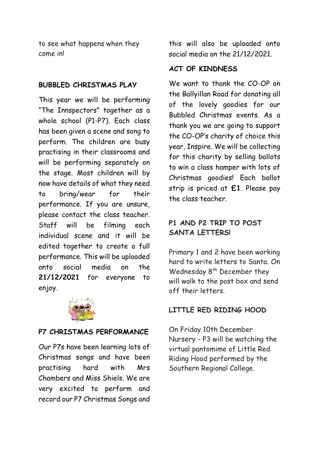to see what happens when they come in!

#### **BUBBLED CHRISTMAS PLAY**

This year we will be performing "The Innspectors" together as a whole school (P1-P7). Each class has been given a scene and song to perform. The children are busy practising in their classrooms and will be performing separately on the stage. Most children will by now have details of what they need to bring/wear for their performance. If you are unsure, please contact the class teacher. Staff will be filming each individual scene and it will be edited together to create a full performance. This will be uploaded onto social media on the **21/12/2021** for everyone to enjoy.



#### **P7 CHRISTMAS PERFORMANCE**

Our P7s have been learning lots of Christmas songs and have been practising hard with Mrs Chambers and Miss Shiels. We are very excited to perform and record our P7 Christmas Songs and

this will also be uploaded onto social media on the 21/12/2021.

#### **ACT OF KINDNESS**

We want to thank the CO-OP on the Ballyillan Road for donating all of the lovely goodies for our Bubbled Christmas events. As a thank you we are going to support the CO-OP's charity of choice this year, Inspire. We will be collecting for this charity by selling ballots to win a class hamper with lots of Christmas goodies! Each ballot strip is priced at **£1**. Please pay the class teacher.

## **P1 AND P2 TRIP TO POST SANTA LETTERS!**

Primary 1 and 2 have been working hard to write letters to Santa. On Wednesday 8<sup>th</sup> December they will walk to the post box and send off their letters.

#### **LITTLE RED RIDING HOOD**

On Friday 10th December Nursery - P3 will be watching the virtual pantomime of Little Red Riding Hood performed by the Southern Regional College.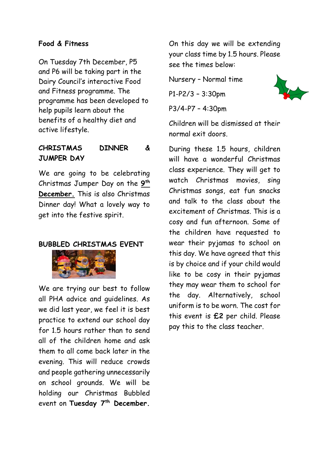#### **Food & Fitness**

On Tuesday 7th December, P5 and P6 will be taking part in the Dairy Council's interactive Food and Fitness programme. The programme has been developed to help pupils learn about the benefits of a healthy diet and active lifestyle.

### **CHRISTMAS DINNER & JUMPER DAY**

We are going to be celebrating Christmas Jumper Day on the **9 th December.** This is also Christmas Dinner day! What a lovely way to get into the festive spirit.

#### **BUBBLED CHRISTMAS EVENT**



We are trying our best to follow all PHA advice and guidelines. As we did last year, we feel it is best practice to extend our school day for 1.5 hours rather than to send all of the children home and ask them to all come back later in the evening. This will reduce crowds and people gathering unnecessarily on school grounds. We will be holding our Christmas Bubbled event on **Tuesday 7th December.**

On this day we will be extending your class time by 1.5 hours. Please see the times below:

Nursery – Normal time

P1-P2/3 – 3:30pm

P3/4-P7 – 4:30pm



Children will be dismissed at their normal exit doors.

During these 1.5 hours, children will have a wonderful Christmas class experience. They will get to watch Christmas movies, sing Christmas songs, eat fun snacks and talk to the class about the excitement of Christmas. This is a cosy and fun afternoon. Some of the children have requested to wear their pyjamas to school on this day. We have agreed that this is by choice and if your child would like to be cosy in their pyjamas they may wear them to school for the day. Alternatively, school uniform is to be worn. The cost for this event is **£2** per child. Please pay this to the class teacher.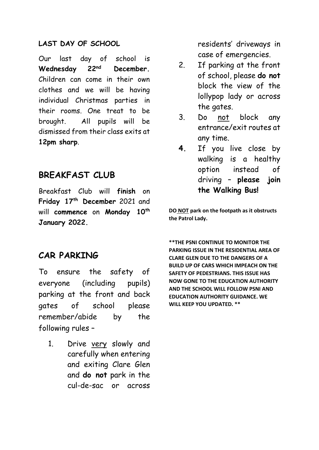#### **LAST DAY OF SCHOOL**

Our last day of school is **Wednesday 22nd December.** Children can come in their own clothes and we will be having individual Christmas parties in their rooms. One treat to be brought. All pupils will be dismissed from their class exits at **12pm sharp**.

## **BREAKFAST CLUB**

Breakfast Club will **finish** on **Friday 17th December** 2021 and will **commence** on **Monday 10th January 2022.**

## **CAR PARKING**

To ensure the safety of everyone (including pupils) parking at the front and back gates of school please remember/abide by the following rules –

1. Drive very slowly and carefully when entering and exiting Clare Glen and **do not** park in the cul-de-sac or across

residents' driveways in case of emergencies.

- 2. If parking at the front of school, please **do not** block the view of the lollypop lady or across the gates.
- 3. Do not block any entrance/exit routes at any time.
- **4.** If you live close by walking is a healthy option instead of driving – **please join the Walking Bus!**

**DO NOT park on the footpath as it obstructs the Patrol Lady.**

**\*\*THE PSNI CONTINUE TO MONITOR THE PARKING ISSUE IN THE RESIDENTIAL AREA OF CLARE GLEN DUE TO THE DANGERS OF A BUILD UP OF CARS WHICH IMPEACH ON THE SAFETY OF PEDESTRIANS. THIS ISSUE HAS NOW GONE TO THE EDUCATION AUTHORITY AND THE SCHOOL WILL FOLLOW PSNI AND EDUCATION AUTHORITY GUIDANCE. WE WILL KEEP YOU UPDATED. \*\***